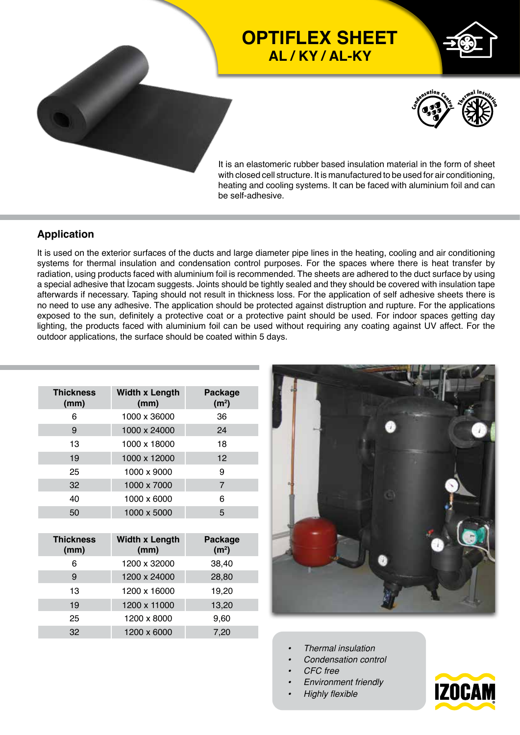

## **OPTIFLEX SHEET AL / KY / AL-KY**





It is an elastomeric rubber based insulation material in the form of sheet with closed cell structure. It is manufactured to be used for air conditioning, heating and cooling systems. It can be faced with aluminium foil and can be self-adhesive.

#### **Application**

It is used on the exterior surfaces of the ducts and large diameter pipe lines in the heating, cooling and air conditioning systems for thermal insulation and condensation control purposes. For the spaces where there is heat transfer by radiation, using products faced with aluminium foil is recommended. The sheets are adhered to the duct surface by using a special adhesive that İzocam suggests. Joints should be tightly sealed and they should be covered with insulation tape afterwards if necessary. Taping should not result in thickness loss. For the application of self adhesive sheets there is no need to use any adhesive. The application should be protected against distruption and rupture. For the applications exposed to the sun, definitely a protective coat or a protective paint should be used. For indoor spaces getting day lighting, the products faced with aluminium foil can be used without requiring any coating against UV affect. For the outdoor applications, the surface should be coated within 5 days.

| <b>Thickness</b><br>(mm) | <b>Width x Length</b><br>(mm) | Package<br>(m <sup>2</sup> ) |  |  |
|--------------------------|-------------------------------|------------------------------|--|--|
| 6                        | 1000 x 36000                  | 36                           |  |  |
| 9                        | 1000 x 24000                  | 24                           |  |  |
| 13                       | 1000 x 18000                  | 18                           |  |  |
| 19                       | 1000 x 12000                  | 12                           |  |  |
| 25                       | 1000 x 9000                   | 9                            |  |  |
| 32                       | 1000 x 7000                   | 7                            |  |  |
| 40                       | 1000 x 6000                   | 6                            |  |  |
| 50                       | 1000 x 5000                   | 5                            |  |  |

| <b>Thickness</b><br>(mm) | <b>Width x Length</b><br>(mm) | <b>Package</b><br>(m <sup>2</sup> ) |  |  |  |
|--------------------------|-------------------------------|-------------------------------------|--|--|--|
| 6                        | 1200 x 32000                  | 38,40                               |  |  |  |
| 9                        | 1200 x 24000                  | 28,80                               |  |  |  |
| 13                       | 1200 x 16000                  | 19,20                               |  |  |  |
| 19                       | 1200 x 11000                  | 13,20                               |  |  |  |
| 25                       | 1200 x 8000                   | 9,60                                |  |  |  |
| 32                       | 1200 x 6000                   | 7,20                                |  |  |  |



- *• Thermal insulation*
- *• Condensation control*
- *• CFC free*
- *• Environment friendly*
- *• Highly flexible*